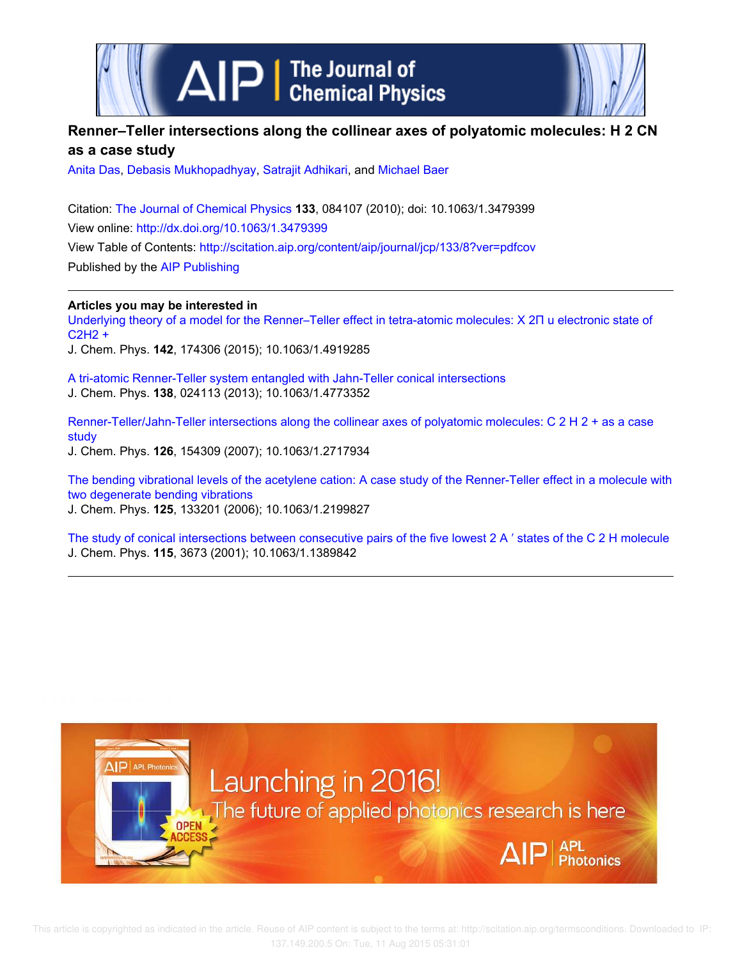



# **Renner–Teller intersections along the collinear axes of polyatomic molecules: H 2 CN as a case study**

Anita Das, Debasis Mukhopadhyay, Satrajit Adhikari, and Michael Baer

Citation: The Journal of Chemical Physics **133**, 084107 (2010); doi: 10.1063/1.3479399 View online: http://dx.doi.org/10.1063/1.3479399 View Table of Contents: http://scitation.aip.org/content/aip/journal/jcp/133/8?ver=pdfcov Published by the AIP Publishing

**Articles you may be interested in**

Underlying theory of a model for the Renner–Teller effect in tetra-atomic molecules: X 2Π u electronic state of C2H2 +

J. Chem. Phys. **142**, 174306 (2015); 10.1063/1.4919285

A tri-atomic Renner-Teller system entangled with Jahn-Teller conical intersections J. Chem. Phys. **138**, 024113 (2013); 10.1063/1.4773352

Renner-Teller/Jahn-Teller intersections along the collinear axes of polyatomic molecules: C 2 H 2 + as a case study J. Chem. Phys. **126**, 154309 (2007); 10.1063/1.2717934

The bending vibrational levels of the acetylene cation: A case study of the Renner-Teller effect in a molecule with two degenerate bending vibrations J. Chem. Phys. **125**, 133201 (2006); 10.1063/1.2199827

The study of conical intersections between consecutive pairs of the five lowest 2 A ′ states of the C 2 H molecule J. Chem. Phys. **115**, 3673 (2001); 10.1063/1.1389842

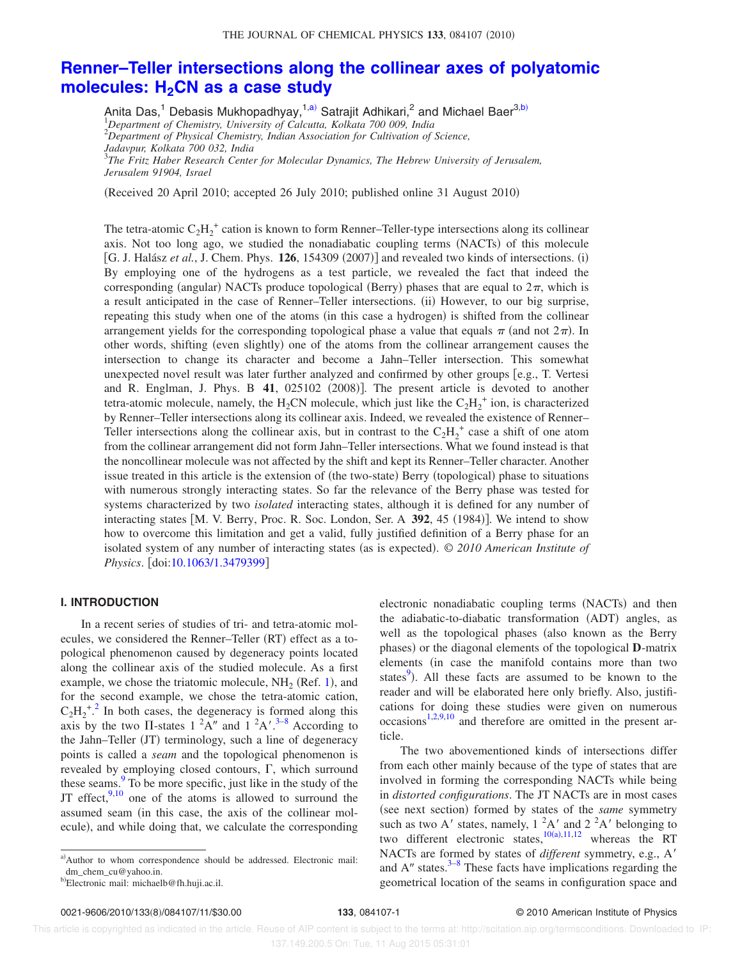# **Renner–Teller intersections along the collinear axes of polyatomic molecules: H2CN as a case study**

Anita Das,<sup>1</sup> Debasis Mukhopadhyay,<sup>1,a)</sup> Satrajit Adhikari,<sup>2</sup> and Michael Baer<sup>3,b)</sup><br><sup>1</sup>Department of Chemistry, University of Calcutta, Kolkata 700 009, India <sup>2</sup>*Department of Physical Chemistry, Indian Association for Cultivation of Science,*

*Jadavpur, Kolkata 700 032, India* 3

*The Fritz Haber Research Center for Molecular Dynamics, The Hebrew University of Jerusalem, Jerusalem 91904, Israel*

(Received 20 April 2010; accepted 26 July 2010; published online 31 August 2010)

The tetra-atomic  $C_2H_2^+$  cation is known to form Renner–Teller-type intersections along its collinear axis. Not too long ago, we studied the nonadiabatic coupling terms (NACTs) of this molecule  $[G, J. Halász *et al.*, J. Chem. Phys.  $126, 154309 (2007)$ ] and revealed two kinds of intersections. (i)$ By employing one of the hydrogens as a test particle, we revealed the fact that indeed the corresponding (angular) NACTs produce topological (Berry) phases that are equal to  $2\pi$ , which is a result anticipated in the case of Renner–Teller intersections. (ii) However, to our big surprise, repeating this study when one of the atoms (in this case a hydrogen) is shifted from the collinear arrangement yields for the corresponding topological phase a value that equals  $\pi$  (and not  $2\pi$ ). In other words, shifting (even slightly) one of the atoms from the collinear arrangement causes the intersection to change its character and become a Jahn–Teller intersection. This somewhat unexpected novel result was later further analyzed and confirmed by other groups [e.g., T. Vertesi and R. Englman, J. Phys.  $B$  41,  $025102$   $(2008)$ ]. The present article is devoted to another tetra-atomic molecule, namely, the H<sub>2</sub>CN molecule, which just like the  $C_2H_2^+$  ion, is characterized by Renner–Teller intersections along its collinear axis. Indeed, we revealed the existence of Renner– Teller intersections along the collinear axis, but in contrast to the  $C_2H_2^+$  case a shift of one atom from the collinear arrangement did not form Jahn–Teller intersections. What we found instead is that the noncollinear molecule was not affected by the shift and kept its Renner–Teller character. Another issue treated in this article is the extension of (the two-state) Berry (topological) phase to situations with numerous strongly interacting states. So far the relevance of the Berry phase was tested for systems characterized by two *isolated* interacting states, although it is defined for any number of interacting states  $[M, V.$  Berry, Proc. R. Soc. London, Ser. A  $392$ , 45  $(1984)$ ]. We intend to show how to overcome this limitation and get a valid, fully justified definition of a Berry phase for an isolated system of any number of interacting states (as is expected). © 2010 American Institute of *Physics*. doi:10.1063/1.3479399

## **I. INTRODUCTION**

In a recent series of studies of tri- and tetra-atomic molecules, we considered the Renner-Teller (RT) effect as a topological phenomenon caused by degeneracy points located along the collinear axis of the studied molecule. As a first example, we chose the triatomic molecule,  $NH_2$  (Ref. 1), and for the second example, we chose the tetra-atomic cation,  $C_2H_2^{\ast}$ .<sup>2</sup> In both cases, the degeneracy is formed along this axis by the two  $\Pi$ -states  $1^2A''$  and  $1^2A'$ .<sup>3-8</sup> According to the Jahn–Teller (JT) terminology, such a line of degeneracy points is called a *seam* and the topological phenomenon is revealed by employing closed contours,  $\Gamma$ , which surround these seams.<sup>9</sup> To be more specific, just like in the study of the JT effect,  $9,10$  one of the atoms is allowed to surround the assumed seam (in this case, the axis of the collinear molecule), and while doing that, we calculate the corresponding

electronic nonadiabatic coupling terms (NACTs) and then the adiabatic-to-diabatic transformation (ADT) angles, as well as the topological phases (also known as the Berry phases) or the diagonal elements of the topological **D**-matrix elements (in case the manifold contains more than two states<sup>9</sup>). All these facts are assumed to be known to the reader and will be elaborated here only briefly. Also, justifications for doing these studies were given on numerous  $\text{occasions}^{1,2,9,10}$  and therefore are omitted in the present article.

The two abovementioned kinds of intersections differ from each other mainly because of the type of states that are involved in forming the corresponding NACTs while being in *distorted configurations*. The JT NACTs are in most cases (see next section) formed by states of the *same* symmetry such as two A' states, namely,  $1^2A'$  and  $2^2A'$  belonging to two different electronic states,  $10(a), 11, 12$  whereas the RT NACTs are formed by states of *different* symmetry, e.g., A and  $A''$  states.<sup>3–8</sup> These facts have implications regarding the geometrical location of the seams in configuration space and

a)Author to whom correspondence should be addressed. Electronic mail: dm\_chem\_cu@yahoo.in.

b Electronic mail: michaelb@fh.huji.ac.il.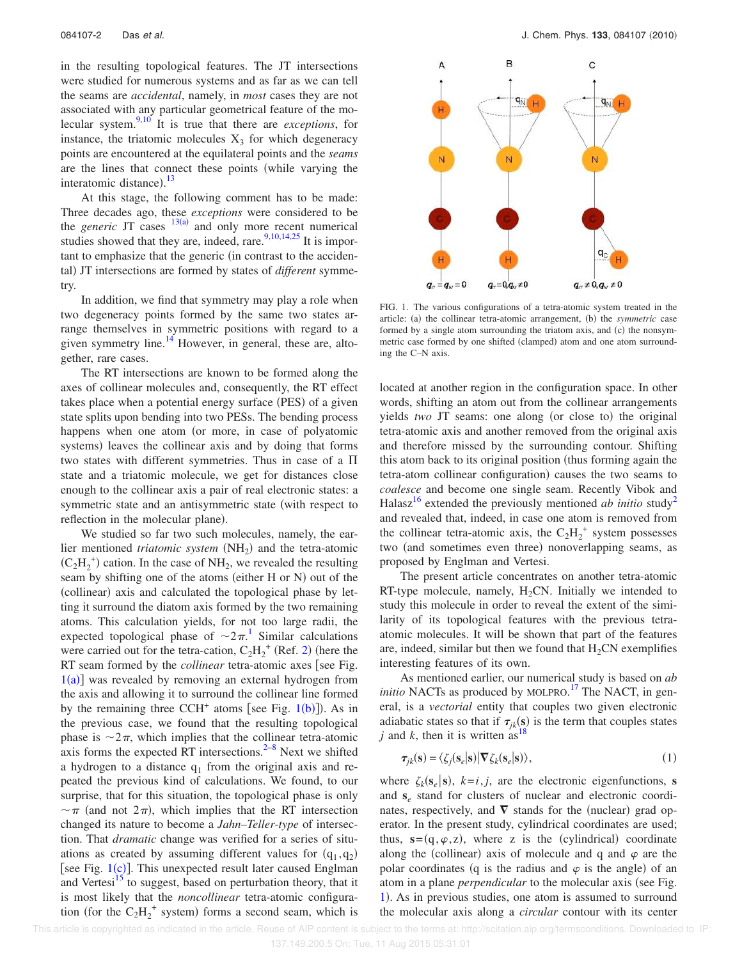in the resulting topological features. The JT intersections were studied for numerous systems and as far as we can tell the seams are *accidental*, namely, in *most* cases they are not associated with any particular geometrical feature of the molecular system.9,10 It is true that there are *exceptions*, for instance, the triatomic molecules  $X_3$  for which degeneracy points are encountered at the equilateral points and the *seams* are the lines that connect these points (while varying the interatomic distance).<sup>13</sup>

At this stage, the following comment has to be made: Three decades ago, these *exceptions* were considered to be the *generic* JT cases  $13(a)$  and only more recent numerical studies showed that they are, indeed, rare.<sup>9,10,14,25</sup> It is important to emphasize that the generic (in contrast to the accidental) JT intersections are formed by states of *different* symmetry.

In addition, we find that symmetry may play a role when two degeneracy points formed by the same two states arrange themselves in symmetric positions with regard to a given symmetry line. $^{14}$  However, in general, these are, altogether, rare cases.

The RT intersections are known to be formed along the axes of collinear molecules and, consequently, the RT effect takes place when a potential energy surface (PES) of a given state splits upon bending into two PESs. The bending process happens when one atom (or more, in case of polyatomic systems) leaves the collinear axis and by doing that forms two states with different symmetries. Thus in case of a  $\Pi$ state and a triatomic molecule, we get for distances close enough to the collinear axis a pair of real electronic states: a symmetric state and an antisymmetric state (with respect to reflection in the molecular plane).

We studied so far two such molecules, namely, the earlier mentioned *triatomic system* (NH<sub>2</sub>) and the tetra-atomic  $(C_2H_2^+)$  cation. In the case of NH<sub>2</sub>, we revealed the resulting seam by shifting one of the atoms (either H or N) out of the (collinear) axis and calculated the topological phase by letting it surround the diatom axis formed by the two remaining atoms. This calculation yields, for not too large radii, the expected topological phase of  $\sim 2\pi$ .<sup>1</sup> Similar calculations were carried out for the tetra-cation,  $C_2H_2^+$  (Ref. 2) (here the RT seam formed by the *collinear* tetra-atomic axes [see Fig.  $1(a)$ ] was revealed by removing an external hydrogen from the axis and allowing it to surround the collinear line formed by the remaining three CCH<sup>+</sup> atoms [see Fig.  $1(b)$ ]). As in the previous case, we found that the resulting topological phase is  $\sim 2\pi$ , which implies that the collinear tetra-atomic axis forms the expected RT intersections. $2^{-8}$  Next we shifted a hydrogen to a distance  $q_1$  from the original axis and repeated the previous kind of calculations. We found, to our surprise, that for this situation, the topological phase is only  $\sim \pi$  (and not  $2\pi$ ), which implies that the RT intersection changed its nature to become a *Jahn–Teller-type* of intersection. That *dramatic* change was verified for a series of situations as created by assuming different values for  $(q_1, q_2)$ [see Fig.  $1(c)$ ]. This unexpected result later caused Englman and Vertesi<sup>15</sup> to suggest, based on perturbation theory, that it is most likely that the *noncollinear* tetra-atomic configuration (for the  $C_2H_2^+$  system) forms a second seam, which is



FIG. 1. The various configurations of a tetra-atomic system treated in the article: (a) the collinear tetra-atomic arrangement, (b) the *symmetric* case formed by a single atom surrounding the triatom axis, and (c) the nonsymmetric case formed by one shifted (clamped) atom and one atom surrounding the C–N axis.

located at another region in the configuration space. In other words, shifting an atom out from the collinear arrangements yields two JT seams: one along (or close to) the original tetra-atomic axis and another removed from the original axis and therefore missed by the surrounding contour. Shifting this atom back to its original position (thus forming again the tetra-atom collinear configuration) causes the two seams to *coalesce* and become one single seam. Recently Vibok and Halasz<sup>16</sup> extended the previously mentioned *ab initio* study<sup>2</sup> and revealed that, indeed, in case one atom is removed from the collinear tetra-atomic axis, the  $C_2H_2^+$  system possesses two (and sometimes even three) nonoverlapping seams, as proposed by Englman and Vertesi.

The present article concentrates on another tetra-atomic RT-type molecule, namely,  $H_2CN$ . Initially we intended to study this molecule in order to reveal the extent of the similarity of its topological features with the previous tetraatomic molecules. It will be shown that part of the features are, indeed, similar but then we found that  $H_2CN$  exemplifies interesting features of its own.

As mentioned earlier, our numerical study is based on *ab* initio NACTs as produced by MOLPRO.<sup>17</sup> The NACT, in general, is a *vectorial* entity that couples two given electronic adiabatic states so that if  $\tau_{jk}(s)$  is the term that couples states *j* and *k*, then it is written as<sup>18</sup>

$$
\tau_{jk}(\mathbf{s}) = \langle \zeta_j(\mathbf{s}_e|\mathbf{s}) | \nabla \zeta_k(\mathbf{s}_e|\mathbf{s}) \rangle,\tag{1}
$$

where  $\zeta_k(\mathbf{s}_e|\mathbf{s})$ ,  $k=i, j$ , are the electronic eigenfunctions, **s** and **s***<sup>e</sup>* stand for clusters of nuclear and electronic coordinates, respectively, and  $\nabla$  stands for the (nuclear) grad operator. In the present study, cylindrical coordinates are used; thus,  $s = (q, \varphi, z)$ , where z is the (cylindrical) coordinate along the (collinear) axis of molecule and q and  $\varphi$  are the polar coordinates (q is the radius and  $\varphi$  is the angle) of an atom in a plane *perpendicular* to the molecular axis (see Fig. 1). As in previous studies, one atom is assumed to surround the molecular axis along a *circular* contour with its center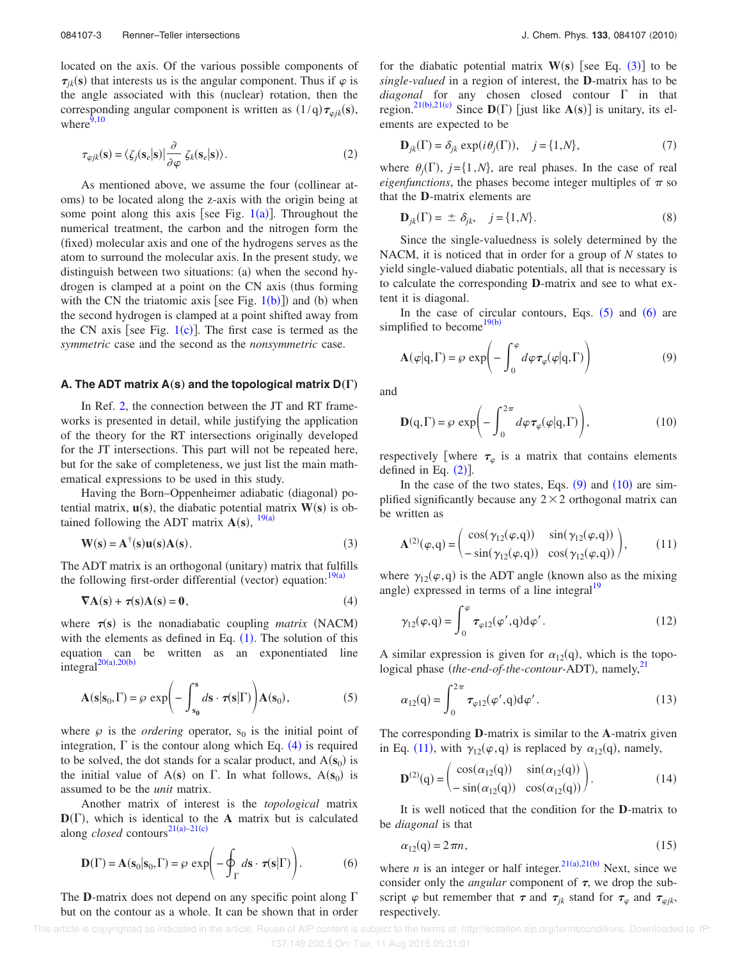located on the axis. Of the various possible components of  $\tau_{jk}(s)$  that interests us is the angular component. Thus if  $\varphi$  is the angle associated with this (nuclear) rotation, then the corresponding angular component is written as  $(1/q)\tau_{\varphi jk}(s)$ , where $9,10$ 

$$
\tau_{\varphi jk}(\mathbf{s}) = \langle \zeta_j(\mathbf{s}_e|\mathbf{s}) | \frac{\partial}{\partial \varphi} \zeta_k(\mathbf{s}_e|\mathbf{s}) \rangle. \tag{2}
$$

As mentioned above, we assume the four (collinear atoms) to be located along the z-axis with the origin being at some point along this axis [see Fig.  $1(a)$ ]. Throughout the numerical treatment, the carbon and the nitrogen form the (fixed) molecular axis and one of the hydrogens serves as the atom to surround the molecular axis. In the present study, we distinguish between two situations: (a) when the second hydrogen is clamped at a point on the CN axis (thus forming with the CN the triatomic axis [see Fig.  $1(b)$ ]) and (b) when the second hydrogen is clamped at a point shifted away from the CN axis [see Fig.  $1(c)$ ]. The first case is termed as the *symmetric* case and the second as the *nonsymmetric* case.

## **A. The ADT matrix A(s) and the topological matrix**  $D(\Gamma)$

In Ref. 2, the connection between the JT and RT frameworks is presented in detail, while justifying the application of the theory for the RT intersections originally developed for the JT intersections. This part will not be repeated here, but for the sake of completeness, we just list the main mathematical expressions to be used in this study.

Having the Born-Oppenheimer adiabatic (diagonal) potential matrix,  $\mathbf{u}(s)$ , the diabatic potential matrix  $\mathbf{W}(s)$  is obtained following the ADT matrix  $A(s)$ ,  $^{19(a)}$ 

$$
W(s) = A^{\dagger}(s)u(s)A(s).
$$
 (3)

The ADT matrix is an orthogonal (unitary) matrix that fulfills the following first-order differential (vector) equation:  $19(a)$ 

$$
\nabla A(s) + \tau(s)A(s) = 0, \qquad (4)
$$

where  $\tau(s)$  is the nonadiabatic coupling *matrix* (NACM) with the elements as defined in Eq.  $(1)$ . The solution of this equation can be written as an exponentiated line  $integral^{20(a), 20(b)}$ 

$$
\mathbf{A}(\mathbf{s}|\mathbf{s}_0, \Gamma) = \wp \exp\left(-\int_{\mathbf{s}_0}^{\mathbf{s}} d\mathbf{s} \cdot \boldsymbol{\tau}(\mathbf{s}|\Gamma)\right) \mathbf{A}(\mathbf{s}_0),\tag{5}
$$

where  $\varphi$  is the *ordering* operator,  $s_0$  is the initial point of integration,  $\Gamma$  is the contour along which Eq. (4) is required to be solved, the dot stands for a scalar product, and  $A(s_0)$  is the initial value of  $A(s)$  on  $\Gamma$ . In what follows,  $A(s_0)$  is assumed to be the *unit* matrix.

Another matrix of interest is the *topological* matrix  $D(\Gamma)$ , which is identical to the **A** matrix but is calculated along *closed* contours<sup>21(a)-21(c)</sup>

$$
\mathbf{D}(\Gamma) = \mathbf{A}(\mathbf{s}_0 | \mathbf{s}_0, \Gamma) = \wp \exp\left(-\oint_{\Gamma} d\mathbf{s} \cdot \boldsymbol{\tau}(\mathbf{s} | \Gamma)\right). \tag{6}
$$

The **D**-matrix does not depend on any specific point along  $\Gamma$ but on the contour as a whole. It can be shown that in order

for the diabatic potential matrix  $W(s)$  [see Eq.  $(3)$ ] to be *single-valued* in a region of interest, the **D**-matrix has to be *diagonal* for any chosen closed contour  $\Gamma$  in that region.<sup>21(b),21(c)</sup> Since  $D(\Gamma)$  [just like  $A(s)$ ] is unitary, its elements are expected to be

$$
\mathbf{D}_{jk}(\Gamma) = \delta_{jk} \exp(i\theta_j(\Gamma)), \quad j = \{1, N\},\tag{7}
$$

where  $\theta_j(\Gamma)$ ,  $j = \{1, N\}$ , are real phases. In the case of real *eigenfunctions*, the phases become integer multiples of  $\pi$  so that the **D**-matrix elements are

$$
\mathbf{D}_{jk}(\Gamma) = \pm \delta_{jk}, \quad j = \{1, N\}.
$$
 (8)

Since the single-valuedness is solely determined by the NACM, it is noticed that in order for a group of *N* states to yield single-valued diabatic potentials, all that is necessary is to calculate the corresponding **D**-matrix and see to what extent it is diagonal.

In the case of circular contours, Eqs.  $(5)$  and  $(6)$  are simplified to become<sup>19(b)</sup>

$$
\mathbf{A}(\varphi|\mathbf{q},\Gamma) = \varphi \, \exp\!\left(-\int_0^{\varphi} d\varphi \, \tau_{\varphi}(\varphi|\mathbf{q},\Gamma)\right) \tag{9}
$$

and

$$
\mathbf{D}(\mathbf{q}, \Gamma) = \wp \exp\left(-\int_0^{2\pi} d\varphi \tau_{\varphi}(\varphi|\mathbf{q}, \Gamma)\right),\tag{10}
$$

respectively [where  $\tau_{\varphi}$  is a matrix that contains elements defined in Eq.  $(2)$ ].

In the case of the two states, Eqs.  $(9)$  and  $(10)$  are simplified significantly because any  $2 \times 2$  orthogonal matrix can be written as

$$
\mathbf{A}^{(2)}(\varphi, \mathbf{q}) = \begin{pmatrix} \cos(\gamma_{12}(\varphi, \mathbf{q})) & \sin(\gamma_{12}(\varphi, \mathbf{q})) \\ -\sin(\gamma_{12}(\varphi, \mathbf{q})) & \cos(\gamma_{12}(\varphi, \mathbf{q})) \end{pmatrix}, \quad (11)
$$

where  $\gamma_{12}(\varphi, q)$  is the ADT angle (known also as the mixing angle) expressed in terms of a line integral $19$ 

$$
\gamma_{12}(\varphi, \mathbf{q}) = \int_0^{\varphi} \boldsymbol{\tau}_{\varphi 12}(\varphi', \mathbf{q}) d\varphi'.
$$
 (12)

A similar expression is given for  $\alpha_{12}(q)$ , which is the topological phase (the-end-of-the-contour-ADT), namely,<sup>21</sup>

$$
\alpha_{12}(q) = \int_0^{2\pi} \tau_{\varphi 12}(\varphi', q) d\varphi'.
$$
 (13)

The corresponding **D**-matrix is similar to the **A**-matrix given in Eq. (11), with  $\gamma_{12}(\varphi, q)$  is replaced by  $\alpha_{12}(q)$ , namely,

$$
\mathbf{D}^{(2)}(q) = \begin{pmatrix} \cos(\alpha_{12}(q)) & \sin(\alpha_{12}(q)) \\ -\sin(\alpha_{12}(q)) & \cos(\alpha_{12}(q)) \end{pmatrix}.
$$
 (14)

It is well noticed that the condition for the **D**-matrix to be *diagonal* is that

$$
\alpha_{12}(\mathbf{q}) = 2\pi n,\tag{15}
$$

where *n* is an integer or half integer.<sup>21(a),21(b)</sup> Next, since we consider only the *angular* component of  $\tau$ , we drop the subscript  $\varphi$  but remember that  $\tau$  and  $\tau_{jk}$  stand for  $\tau_{\varphi}$  and  $\tau_{\varphi jk}$ , respectively.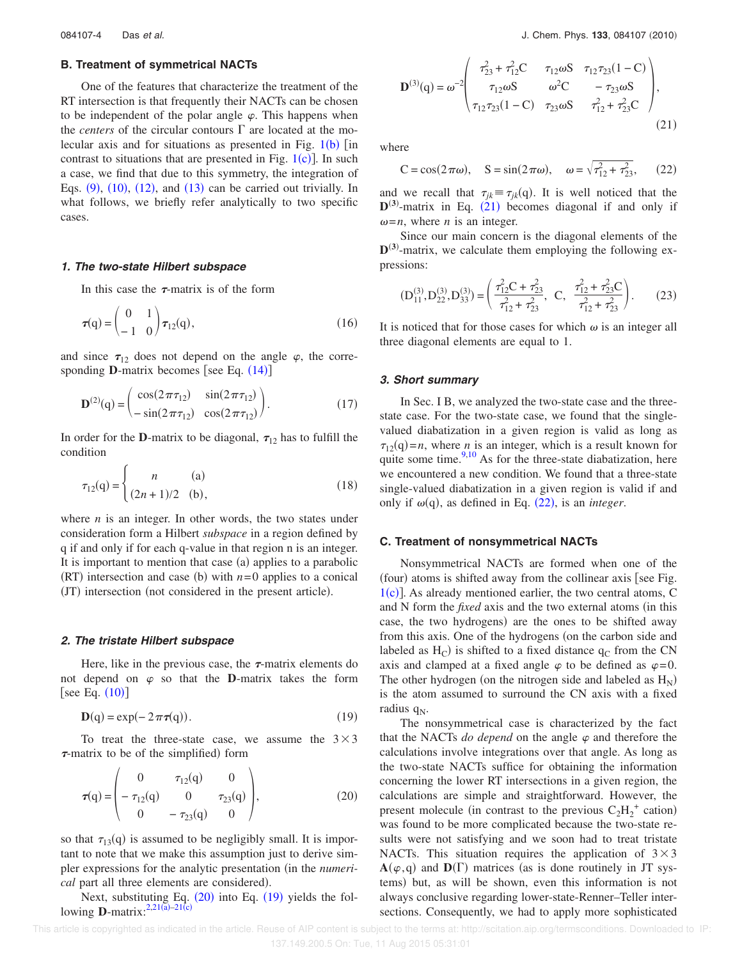# **B. Treatment of symmetrical NACTs**

One of the features that characterize the treatment of the RT intersection is that frequently their NACTs can be chosen to be independent of the polar angle  $\varphi$ . This happens when the *centers* of the circular contours  $\Gamma$  are located at the molecular axis and for situations as presented in Fig.  $1(b)$  [in contrast to situations that are presented in Fig.  $1(c)$ ]. In such a case, we find that due to this symmetry, the integration of Eqs.  $(9)$ ,  $(10)$ ,  $(12)$ , and  $(13)$  can be carried out trivially. In what follows, we briefly refer analytically to two specific cases.

#### **1. The two-state Hilbert subspace**

In this case the  $\tau$ -matrix is of the form

$$
\boldsymbol{\tau}(q) = \begin{pmatrix} 0 & 1 \\ -1 & 0 \end{pmatrix} \boldsymbol{\tau}_{12}(q), \qquad (16)
$$

and since  $\tau_{12}$  does not depend on the angle  $\varphi$ , the corresponding  $D$ -matrix becomes [see Eq.  $(14)$ ]

$$
\mathbf{D}^{(2)}(q) = \begin{pmatrix} \cos(2\pi\tau_{12}) & \sin(2\pi\tau_{12}) \\ -\sin(2\pi\tau_{12}) & \cos(2\pi\tau_{12}) \end{pmatrix}.
$$
 (17)

In order for the **D**-matrix to be diagonal,  $\tau_{12}$  has to fulfill the condition

$$
\tau_{12}(q) = \begin{cases}\nn & (a) \\
(2n+1)/2 & (b),\n\end{cases}
$$
\n(18)

where *n* is an integer. In other words, the two states under consideration form a Hilbert *subspace* in a region defined by q if and only if for each q-value in that region n is an integer. It is important to mention that case (a) applies to a parabolic  $(RT)$  intersection and case (b) with  $n=0$  applies to a conical (JT) intersection (not considered in the present article).

#### **2. The tristate Hilbert subspace**

Here, like in the previous case, the  $\tau$ -matrix elements do not depend on  $\varphi$  so that the **D**-matrix takes the form [see Eq.  $(10)$ ]

$$
\mathbf{D}(q) = \exp(-2\pi \tau(q)).\tag{19}
$$

To treat the three-state case, we assume the  $3\times3$  $\tau$ -matrix to be of the simplified) form

$$
\boldsymbol{\tau}(q) = \begin{pmatrix} 0 & \tau_{12}(q) & 0 \\ -\tau_{12}(q) & 0 & \tau_{23}(q) \\ 0 & -\tau_{23}(q) & 0 \end{pmatrix},\tag{20}
$$

so that  $\tau_{13}(q)$  is assumed to be negligibly small. It is important to note that we make this assumption just to derive simpler expressions for the analytic presentation (in the *numerical* part all three elements are considered.

Next, substituting Eq.  $(20)$  into Eq.  $(19)$  yields the following **D**-matrix: $2,21(\overline{a})-21(c)$ 

$$
\mathbf{D}^{(3)}(\mathbf{q}) = \omega^{-2} \begin{pmatrix} \tau_{23}^2 + \tau_{12}^2 C & \tau_{12} \omega S & \tau_{12} \tau_{23} (1 - C) \\ \tau_{12} \omega S & \omega^2 C & -\tau_{23} \omega S \\ \tau_{12} \tau_{23} (1 - C) & \tau_{23} \omega S & \tau_{12}^2 + \tau_{23}^2 C \end{pmatrix},
$$
\n(21)

where

$$
C = \cos(2\pi\omega)
$$
,  $S = \sin(2\pi\omega)$ ,  $\omega = \sqrt{r_{12}^2 + r_{23}^2}$ , (22)

and we recall that  $\tau_{jk} \equiv \tau_{jk}(q)$ . It is well noticed that the  $D^{(3)}$ -matrix in Eq.  $(21)$  becomes diagonal if and only if  $\omega = n$ , where *n* is an integer.

Since our main concern is the diagonal elements of the  $D^{(3)}$ -matrix, we calculate them employing the following expressions:

$$
(D_{11}^{(3)}, D_{22}^{(3)}, D_{33}^{(3)}) = \left(\frac{\tau_{12}^2 C + \tau_{23}^2}{\tau_{12}^2 + \tau_{23}^2}, C, \frac{\tau_{12}^2 + \tau_{23}^2 C}{\tau_{12}^2 + \tau_{23}^2}\right).
$$
 (23)

It is noticed that for those cases for which  $\omega$  is an integer all three diagonal elements are equal to 1.

### **3. Short summary**

In Sec. I B, we analyzed the two-state case and the threestate case. For the two-state case, we found that the singlevalued diabatization in a given region is valid as long as  $\tau_{12}(q) = n$ , where *n* is an integer, which is a result known for quite some time. $\frac{9,10}{9}$  As for the three-state diabatization, here we encountered a new condition. We found that a three-state single-valued diabatization in a given region is valid if and only if  $\omega(q)$ , as defined in Eq. (22), is an *integer*.

#### **C. Treatment of nonsymmetrical NACTs**

Nonsymmetrical NACTs are formed when one of the (four) atoms is shifted away from the collinear axis [see Fig.  $1(c)$ ]. As already mentioned earlier, the two central atoms, C and N form the *fixed* axis and the two external atoms (in this case, the two hydrogens) are the ones to be shifted away from this axis. One of the hydrogens (on the carbon side and labeled as  $H_C$ ) is shifted to a fixed distance  $q_C$  from the CN axis and clamped at a fixed angle  $\varphi$  to be defined as  $\varphi=0$ . The other hydrogen (on the nitrogen side and labeled as  $H_N$ ) is the atom assumed to surround the CN axis with a fixed radius  $q_N$ .

The nonsymmetrical case is characterized by the fact that the NACTs *do depend* on the angle  $\varphi$  and therefore the calculations involve integrations over that angle. As long as the two-state NACTs suffice for obtaining the information concerning the lower RT intersections in a given region, the calculations are simple and straightforward. However, the present molecule (in contrast to the previous  $C_2H_2^+$  cation) was found to be more complicated because the two-state results were not satisfying and we soon had to treat tristate NACTs. This situation requires the application of  $3 \times 3$  $A(\varphi, q)$  and  $D(\Gamma)$  matrices (as is done routinely in JT systems) but, as will be shown, even this information is not always conclusive regarding lower-state-Renner–Teller intersections. Consequently, we had to apply more sophisticated

 This article is copyrighted as indicated in the article. Reuse of AIP content is subject to the terms at: http://scitation.aip.org/termsconditions. Downloaded to IP: 137.149.200.5 On: Tue, 11 Aug 2015 05:31:01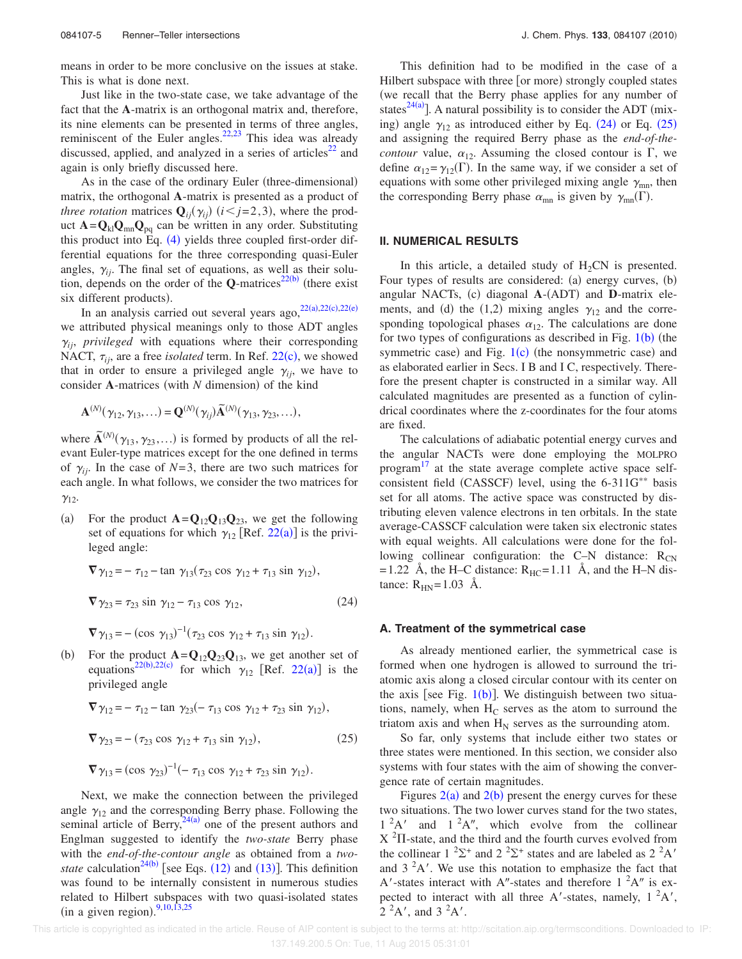means in order to be more conclusive on the issues at stake. This is what is done next.

Just like in the two-state case, we take advantage of the fact that the **A**-matrix is an orthogonal matrix and, therefore, its nine elements can be presented in terms of three angles, reminiscent of the Euler angles. $22,23$  This idea was already discussed, applied, and analyzed in a series of articles $^{22}$  and again is only briefly discussed here.

As in the case of the ordinary Euler (three-dimensional) matrix, the orthogonal **A**-matrix is presented as a product of *three rotation* matrices  $\mathbf{Q}_{ij}(\gamma_{ij})$  ( $i < j = 2,3$ ), where the product  $\mathbf{A} = \mathbf{Q}_{kl} \mathbf{Q}_{mn} \mathbf{Q}_{pq}$  can be written in any order. Substituting this product into Eq. (4) yields three coupled first-order differential equations for the three corresponding quasi-Euler angles,  $\gamma_{ii}$ . The final set of equations, as well as their solution, depends on the order of the  $Q$ -matrices<sup>22(b)</sup> (there exist six different products).

In an analysis carried out several years ago,  $22(a), 22(c), 22(e)$ we attributed physical meanings only to those ADT angles  $\gamma_{ii}$ , *privileged* with equations where their corresponding NACT,  $\tau_{ij}$ , are a free *isolated* term. In Ref. 22(c), we showed that in order to ensure a privileged angle  $\gamma_{ii}$ , we have to consider A-matrices (with *N* dimension) of the kind

$$
\mathbf{A}^{(N)}(\gamma_{12},\gamma_{13},\ldots)=\mathbf{Q}^{(N)}(\gamma_{ij})\widetilde{\mathbf{A}}^{(N)}(\gamma_{13},\gamma_{23},\ldots),
$$

where  $\widetilde{\mathbf{A}}^{(N)}(\gamma_{13}, \gamma_{23}, \ldots)$  is formed by products of all the relevant Euler-type matrices except for the one defined in terms of  $\gamma_{ii}$ . In the case of  $N=3$ , there are two such matrices for each angle. In what follows, we consider the two matrices for  $\gamma_{12}$ .

 $(a)$ For the product  $\mathbf{A} = \mathbf{Q}_{12} \mathbf{Q}_{13} \mathbf{Q}_{23}$ , we get the following set of equations for which  $\gamma_{12}$  [Ref. 22(a)] is the privileged angle:

$$
\nabla \gamma_{12} = -\tau_{12} - \tan \gamma_{13} (\tau_{23} \cos \gamma_{12} + \tau_{13} \sin \gamma_{12}),
$$
  
\n
$$
\nabla \gamma_{23} = \tau_{23} \sin \gamma_{12} - \tau_{13} \cos \gamma_{12},
$$
  
\n
$$
\nabla \gamma_{13} = -(\cos \gamma_{13})^{-1} (\tau_{23} \cos \gamma_{12} + \tau_{13} \sin \gamma_{12}).
$$
\n(24)

 $(b)$ b) For the product  $\mathbf{A} = \mathbf{Q}_{12} \mathbf{Q}_{23} \mathbf{Q}_{13}$ , we get another set of equations<sup>22(b),22(c)</sup> for which  $\gamma_{12}$  [Ref. 22(a)] is the privileged angle

$$
\nabla \gamma_{12} = -\tau_{12} - \tan \gamma_{23} (-\tau_{13} \cos \gamma_{12} + \tau_{23} \sin \gamma_{12}),
$$
  

$$
\nabla \gamma_{23} = -(\tau_{23} \cos \gamma_{12} + \tau_{13} \sin \gamma_{12}),
$$
 (25)

$$
\nabla \gamma_{13} = (\cos \gamma_{23})^{-1}(-\tau_{13} \cos \gamma_{12} + \tau_{23} \sin \gamma_{12}).
$$

Next, we make the connection between the privileged angle  $\gamma_{12}$  and the corresponding Berry phase. Following the seminal article of Berry,  $24(a)$  one of the present authors and Englman suggested to identify the *two-state* Berry phase with the *end-of-the-contour angle* as obtained from a *twostate* calculation<sup>24(b)</sup> [see Eqs.  $(12)$  and  $(13)$ ]. This definition was found to be internally consistent in numerous studies related to Hilbert subspaces with two quasi-isolated states (in a given region).  $9,10,13,25$ 

This definition had to be modified in the case of a Hilbert subspace with three [or more) strongly coupled states (we recall that the Berry phase applies for any number of states $^{24(a)}$ ]. A natural possibility is to consider the ADT (mixing) angle  $\gamma_{12}$  as introduced either by Eq. (24) or Eq. (25) and assigning the required Berry phase as the *end-of-thecontour* value,  $\alpha_{12}$ . Assuming the closed contour is  $\Gamma$ , we define  $\alpha_{12} = \gamma_{12}(\Gamma)$ . In the same way, if we consider a set of equations with some other privileged mixing angle  $\gamma_{mn}$ , then the corresponding Berry phase  $\alpha_{mn}$  is given by  $\gamma_{mn}(\Gamma)$ .

## **II. NUMERICAL RESULTS**

In this article, a detailed study of  $H_2CN$  is presented. Four types of results are considered: (a) energy curves, (b) angular NACTs, (c) diagonal A-(ADT) and D-matrix elements, and (d) the (1,2) mixing angles  $\gamma_{12}$  and the corresponding topological phases  $\alpha_{12}$ . The calculations are done for two types of configurations as described in Fig.  $1(b)$  (the symmetric case) and Fig.  $1(c)$  (the nonsymmetric case) and as elaborated earlier in Secs. I B and I C, respectively. Therefore the present chapter is constructed in a similar way. All calculated magnitudes are presented as a function of cylindrical coordinates where the z-coordinates for the four atoms are fixed.

The calculations of adiabatic potential energy curves and the angular NACTs were done employing the MOLPRO program<sup>17</sup> at the state average complete active space selfconsistent field (CASSCF) level, using the  $6-311G^{**}$  basis set for all atoms. The active space was constructed by distributing eleven valence electrons in ten orbitals. In the state average-CASSCF calculation were taken six electronic states with equal weights. All calculations were done for the following collinear configuration: the C–N distance:  $R_{CN}$ = 1.22 Å, the H–C distance:  $R_{HC}$ = 1.11 Å, and the H–N distance:  $R_{HN} = 1.03$  Å.

#### **A. Treatment of the symmetrical case**

As already mentioned earlier, the symmetrical case is formed when one hydrogen is allowed to surround the triatomic axis along a closed circular contour with its center on the axis [see Fig.  $1(b)$ ]. We distinguish between two situations, namely, when  $H_C$  serves as the atom to surround the triatom axis and when  $H_N$  serves as the surrounding atom.

So far, only systems that include either two states or three states were mentioned. In this section, we consider also systems with four states with the aim of showing the convergence rate of certain magnitudes.

Figures  $2(a)$  and  $2(b)$  present the energy curves for these two situations. The two lower curves stand for the two states,  $1^2A'$  and  $1^2A''$ , which evolve from the collinear  $X<sup>2</sup>$ II-state, and the third and the fourth curves evolved from the collinear  $1^{2} \Sigma^{+}$  and  $2^{2} \Sigma^{+}$  states and are labeled as  $2^{2} A'$ and  $3<sup>2</sup>A'$ . We use this notation to emphasize the fact that A'-states interact with A"-states and therefore  $1^2A''$  is expected to interact with all three A'-states, namely,  $1^2A'$ ,  $2^2$ A', and  $3^2$ A'.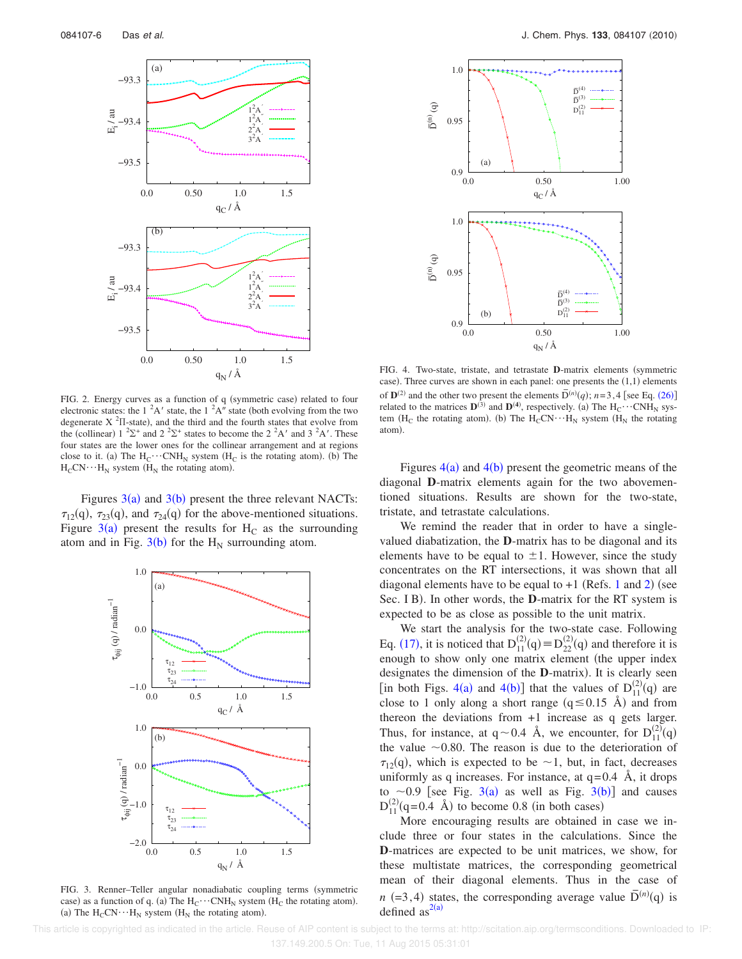

FIG. 2. Energy curves as a function of q (symmetric case) related to four electronic states: the 1  ${}^{2}$ A' state, the 1  ${}^{2}$ A" state (both evolving from the two degenerate  $X^2\Pi$ -state), and the third and the fourth states that evolve from the (collinear)  $1^{2}\Sigma^{+}$  and  $2^{2}\Sigma^{+}$  states to become the  $2^{2}A'$  and  $3^{2}A'$ . These four states are the lower ones for the collinear arrangement and at regions close to it. (a) The  $H_C \cdots CNH_N$  system ( $H_C$  is the rotating atom). (b) The  $H_CCN \cdots H_N$  system ( $H_N$  the rotating atom).

Figures  $3(a)$  and  $3(b)$  present the three relevant NACTs:  $\tau_{12}(q)$ ,  $\tau_{23}(q)$ , and  $\tau_{24}(q)$  for the above-mentioned situations. Figure  $3(a)$  present the results for H<sub>C</sub> as the surrounding atom and in Fig.  $3(b)$  for the H<sub>N</sub> surrounding atom.



FIG. 3. Renner-Teller angular nonadiabatic coupling terms (symmetric case) as a function of q. (a) The  $H_C \cdots CNH_N$  system ( $H_C$  the rotating atom). (a) The  $H_CCN \cdots H_N$  system ( $H_N$  the rotating atom).



FIG. 4. Two-state, tristate, and tetrastate **D**-matrix elements (symmetric case). Three curves are shown in each panel: one presents the  $(1,1)$  elements of  $\mathbf{D}^{(2)}$  and the other two present the elements  $\bar{\mathbf{D}}^{(n)}(q)$ ;  $n=3,4$  [see Eq. (26)] related to the matrices  $\mathbf{D}^{(3)}$  and  $\mathbf{D}^{(4)}$ , respectively. (a) The  $H_C \cdots CNH_N$  system ( $H_C$  the rotating atom). (b) The  $H_CCN \cdots H_N$  system ( $H_N$  the rotating atom).

Figures  $4(a)$  and  $4(b)$  present the geometric means of the diagonal **D**-matrix elements again for the two abovementioned situations. Results are shown for the two-state, tristate, and tetrastate calculations.

We remind the reader that in order to have a singlevalued diabatization, the **D**-matrix has to be diagonal and its elements have to be equal to  $\pm 1$ . However, since the study concentrates on the RT intersections, it was shown that all diagonal elements have to be equal to  $+1$  (Refs. 1 and 2) (see Sec. I B). In other words, the **D**-matrix for the RT system is expected to be as close as possible to the unit matrix.

We start the analysis for the two-state case. Following Eq. (17), it is noticed that  $D_{11}^{(2)}(q) \equiv D_{22}^{(2)}(q)$  and therefore it is enough to show only one matrix element (the upper index designates the dimension of the **D**-matrix). It is clearly seen [in both Figs. 4(a) and 4(b)] that the values of  $D_{11}^{(2)}(q)$  are close to 1 only along a short range  $(q \le 0.15 \text{ Å})$  and from thereon the deviations from +1 increase as q gets larger. Thus, for instance, at  $q \sim 0.4$  Å, we encounter, for  $D_{11}^{(2)}(q)$ the value  $\sim$  0.80. The reason is due to the deterioration of  $\tau_{12}(q)$ , which is expected to be  $\sim$ 1, but, in fact, decreases uniformly as q increases. For instance, at  $q=0.4$  Å, it drops to  $\sim$  0.9 [see Fig. 3(a) as well as Fig. 3(b)] and causes  $D_{11}^{(2)}(q=0.4 \text{ Å})$  to become 0.8 (in both cases)

More encouraging results are obtained in case we include three or four states in the calculations. Since the **D**-matrices are expected to be unit matrices, we show, for these multistate matrices, the corresponding geometrical mean of their diagonal elements. Thus in the case of  $n (=3,4)$  states, the corresponding average value  $\overline{D}^{(n)}(q)$  is defined  $as^{2(a)}$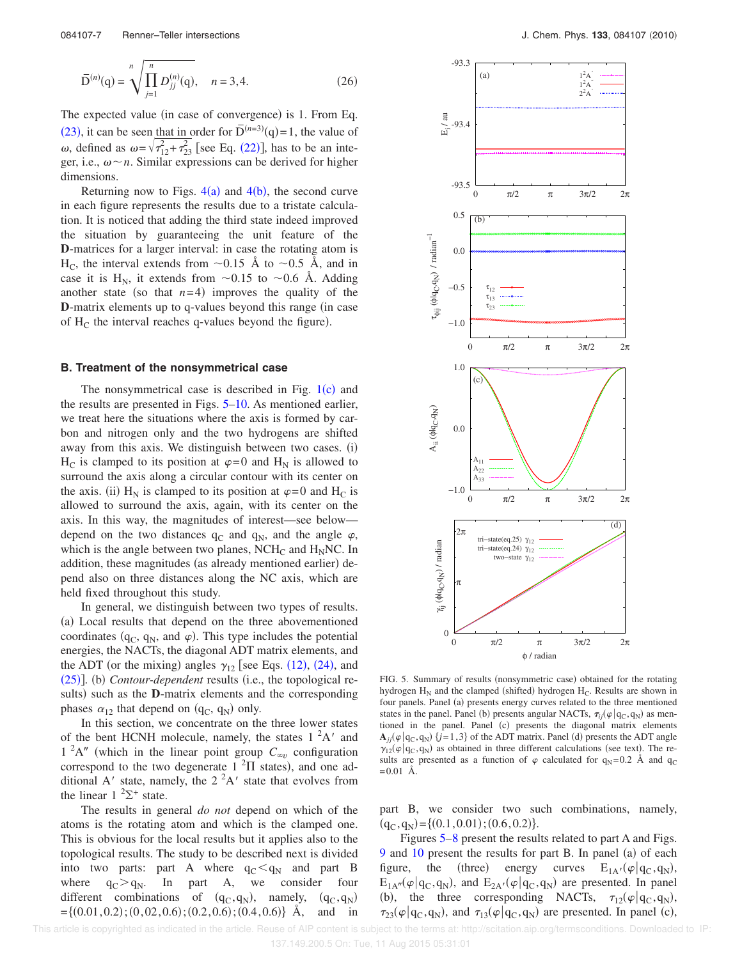$$
\bar{\mathbf{D}}^{(n)}(\mathbf{q}) = \sqrt{\prod_{j=1}^{n} D_{jj}^{(n)}(\mathbf{q})}, \quad n = 3, 4.
$$
 (26)

The expected value (in case of convergence) is 1. From Eq. (23), it can be seen that in order for  $\overline{D}^{(n=3)}(q)=1$ , the value of  $\omega$ , defined as  $\omega = \sqrt{\tau_{12}^2 + \tau_{23}^2}$  [see Eq. (22)], has to be an integer, i.e.,  $\omega \sim n$ . Similar expressions can be derived for higher dimensions.

Returning now to Figs.  $4(a)$  and  $4(b)$ , the second curve in each figure represents the results due to a tristate calculation. It is noticed that adding the third state indeed improved the situation by guaranteeing the unit feature of the **D**-matrices for a larger interval: in case the rotating atom is  $H_C$ , the interval extends from  $\sim$ 0.15 Å to  $\sim$ 0.5 Å, and in case it is H<sub>N</sub>, it extends from  $\sim 0.15$  to  $\sim 0.6$  Å. Adding another state (so that  $n=4$ ) improves the quality of the **D**-matrix elements up to q-values beyond this range (in case of  $H_C$  the interval reaches q-values beyond the figure).

### **B. Treatment of the nonsymmetrical case**

The nonsymmetrical case is described in Fig.  $1(c)$  and the results are presented in Figs. 5–10. As mentioned earlier, we treat here the situations where the axis is formed by carbon and nitrogen only and the two hydrogens are shifted away from this axis. We distinguish between two cases. (i)  $H_C$  is clamped to its position at  $\varphi = 0$  and  $H_N$  is allowed to surround the axis along a circular contour with its center on the axis. (ii)  $H_N$  is clamped to its position at  $\varphi = 0$  and  $H_C$  is allowed to surround the axis, again, with its center on the axis. In this way, the magnitudes of interest—see below depend on the two distances  $q_c$  and  $q_N$ , and the angle  $\varphi$ , which is the angle between two planes,  $NCH_C$  and  $H_NNC$ . In addition, these magnitudes (as already mentioned earlier) depend also on three distances along the NC axis, which are held fixed throughout this study.

In general, we distinguish between two types of results. (a) Local results that depend on the three abovementioned coordinates ( $q_C$ ,  $q_N$ , and  $\varphi$ ). This type includes the potential energies, the NACTs, the diagonal ADT matrix elements, and the ADT (or the mixing) angles  $\gamma_{12}$  [see Eqs. (12), (24), and (25)]. (b) *Contour-dependent* results (i.e., the topological results) such as the **D**-matrix elements and the corresponding phases  $\alpha_{12}$  that depend on  $(q_C, q_N)$  only.

In this section, we concentrate on the three lower states of the bent HCNH molecule, namely, the states  $1^2A'$  and  $1^2$ A" (which in the linear point group  $C_{\infty}$  configuration correspond to the two degenerate  $1^{2}\Pi$  states), and one additional A' state, namely, the  $2<sup>2</sup>A'$  state that evolves from the linear  $1 \, {}^{2}\Sigma^{+}$  state.

The results in general *do not* depend on which of the atoms is the rotating atom and which is the clamped one. This is obvious for the local results but it applies also to the topological results. The study to be described next is divided into two parts: part A where  $q_C < q_N$  and part B where  $q_C > q_N$ . In part A, we consider four different combinations of  $(q_C, q_N)$ , namely, (  $(q_C, q_N)$  $=\{(0.01, 0.2); (0, 02, 0.6); (0.2, 0.6); (0.4, 0.6)\}\;$  Å, and in



FIG. 5. Summary of results (nonsymmetric case) obtained for the rotating hydrogen  $H_N$  and the clamped (shifted) hydrogen  $H_C$ . Results are shown in four panels. Panel (a) presents energy curves related to the three mentioned states in the panel. Panel (b) presents angular NACTs,  $\tau_{ij}(\varphi|q_C, q_N)$  as mentioned in the panel. Panel (c) presents the diagonal matrix elements  $\mathbf{A}_{jj}(\varphi | \mathbf{q}_{\rm C}, \mathbf{q}_{\rm N})$  {*j*=1,3} of the ADT matrix. Panel (d) presents the ADT angle  $\gamma_{12}(\varphi | q_{\rm C}, q_{\rm N})$  as obtained in three different calculations (see text). The results are presented as a function of  $\varphi$  calculated for  $q_N = 0.2$  Å and  $q_C$  $= 0.01$  Å.

part B, we consider two such combinations, namely,  $(q_C, q_N) = \{(0.1, 0.01); (0.6, 0.2)\}.$ 

Figures 5–8 present the results related to part A and Figs.  $9$  and  $10$  present the results for part B. In panel (a) of each figure, the (three) energy curves  $E_{1A'}(\varphi|q_C, q_N)$ ,  $E_{1A''}(\varphi|q_C, q_N)$ , and  $E_{2A'}(\varphi|q_C, q_N)$  are presented. In panel (b), the three corresponding NACTs,  $\tau_{12}(\varphi|q_C, q_N)$ ,  $\tau_{23}(\varphi|q_C, q_N)$ , and  $\tau_{13}(\varphi|q_C, q_N)$  are presented. In panel (c),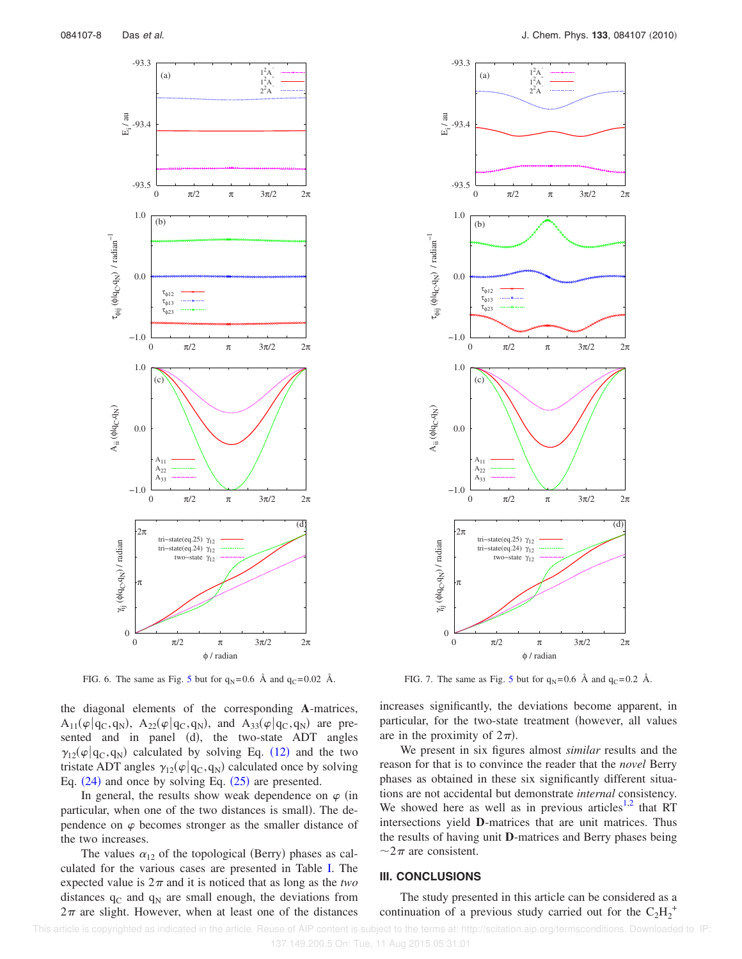

FIG. 6. The same as Fig. 5 but for  $q_N = 0.6$  Å and  $q_C = 0.02$  Å.

the diagonal elements of the corresponding **A**-matrices,  $A_{11}(\varphi | q_C, q_N)$ ,  $A_{22}(\varphi | q_C, q_N)$ , and  $A_{33}(\varphi | q_C, q_N)$  are presented and in panel (d), the two-state ADT angles  $\gamma_{12}(\varphi|q_C, q_N)$  calculated by solving Eq. (12) and the two tristate ADT angles  $\gamma_{12}(\varphi|q_C, q_N)$  calculated once by solving Eq.  $(24)$  and once by solving Eq.  $(25)$  are presented.

In general, the results show weak dependence on  $\varphi$  (in particular, when one of the two distances is small. The dependence on  $\varphi$  becomes stronger as the smaller distance of the two increases.

The values  $\alpha_{12}$  of the topological (Berry) phases as calculated for the various cases are presented in Table I. The expected value is  $2\pi$  and it is noticed that as long as the *two* distances  $q_C$  and  $q_N$  are small enough, the deviations from  $2\pi$  are slight. However, when at least one of the distances



FIG. 7. The same as Fig. 5 but for  $q_N = 0.6$  Å and  $q_C = 0.2$  Å.

increases significantly, the deviations become apparent, in particular, for the two-state treatment (however, all values are in the proximity of  $2\pi$ ).

We present in six figures almost *similar* results and the reason for that is to convince the reader that the *novel* Berry phases as obtained in these six significantly different situations are not accidental but demonstrate *internal* consistency. We showed here as well as in previous articles<sup>1,2</sup> that RT intersections yield **D**-matrices that are unit matrices. Thus the results of having unit **D**-matrices and Berry phases being  $\sim$ 2 $\pi$  are consistent.

# **III. CONCLUSIONS**

The study presented in this article can be considered as a continuation of a previous study carried out for the  $C_2H_2^+$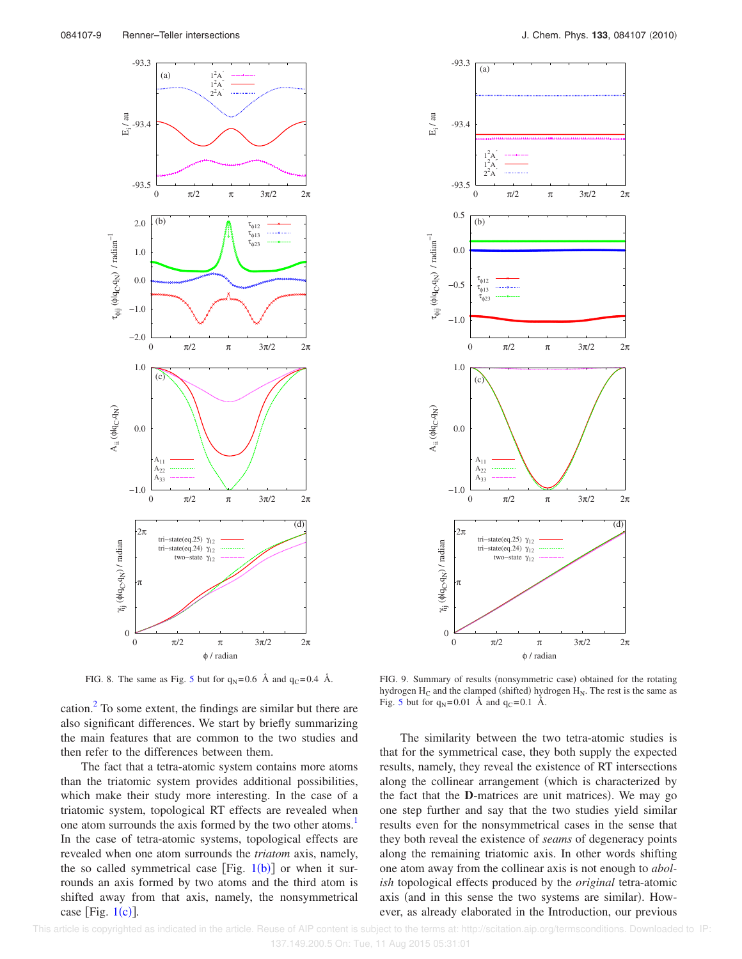

FIG. 8. The same as Fig. 5 but for  $q_N = 0.6$  Å and  $q_C = 0.4$  Å.

cation. $^{2}$  To some extent, the findings are similar but there are also significant differences. We start by briefly summarizing the main features that are common to the two studies and then refer to the differences between them.

The fact that a tetra-atomic system contains more atoms than the triatomic system provides additional possibilities, which make their study more interesting. In the case of a triatomic system, topological RT effects are revealed when one atom surrounds the axis formed by the two other atoms.<sup>1</sup> In the case of tetra-atomic systems, topological effects are revealed when one atom surrounds the *triatom* axis, namely, the so called symmetrical case [Fig.  $1(b)$ ] or when it surrounds an axis formed by two atoms and the third atom is shifted away from that axis, namely, the nonsymmetrical case [Fig.  $1(c)$ ].



FIG. 9. Summary of results (nonsymmetric case) obtained for the rotating hydrogen  $H_C$  and the clamped (shifted) hydrogen  $H_N$ . The rest is the same as Fig. 5 but for  $q_N = 0.01$  Å and  $q_C = 0.1$  Å.

The similarity between the two tetra-atomic studies is that for the symmetrical case, they both supply the expected results, namely, they reveal the existence of RT intersections along the collinear arrangement (which is characterized by the fact that the **D**-matrices are unit matrices). We may go one step further and say that the two studies yield similar results even for the nonsymmetrical cases in the sense that they both reveal the existence of *seams* of degeneracy points along the remaining triatomic axis. In other words shifting one atom away from the collinear axis is not enough to *abolish* topological effects produced by the *original* tetra-atomic axis (and in this sense the two systems are similar). However, as already elaborated in the Introduction, our previous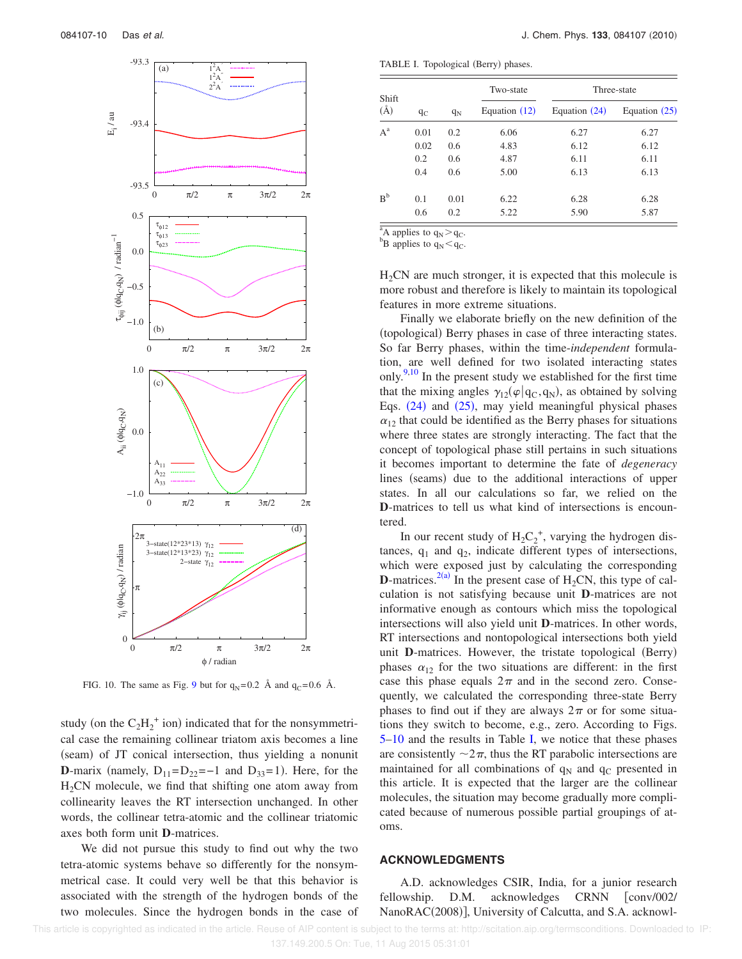

FIG. 10. The same as Fig. 9 but for  $q_N = 0.2$  Å and  $q_C = 0.6$  Å.

study (on the  $C_2H_2^+$  ion) indicated that for the nonsymmetrical case the remaining collinear triatom axis becomes a line (seam) of JT conical intersection, thus yielding a nonunit **D**-marix (namely,  $D_{11}=D_{22}=-1$  and  $D_{33}=1$ ). Here, for the  $H<sub>2</sub>CN$  molecule, we find that shifting one atom away from collinearity leaves the RT intersection unchanged. In other words, the collinear tetra-atomic and the collinear triatomic axes both form unit **D**-matrices.

We did not pursue this study to find out why the two tetra-atomic systems behave so differently for the nonsymmetrical case. It could very well be that this behavior is associated with the strength of the hydrogen bonds of the two molecules. Since the hydrogen bonds in the case of

TABLE I. Topological (Berry) phases.

| Shift<br>$(\AA)$ |       | $q_N$ | Two-state<br>Equation $(12)$ | Three-state   |                 |
|------------------|-------|-------|------------------------------|---------------|-----------------|
|                  | $q_C$ |       |                              | Equation (24) | Equation $(25)$ |
| $A^a$            | 0.01  | 0.2   | 6.06                         | 6.27          | 6.27            |
|                  | 0.02  | 0.6   | 4.83                         | 6.12          | 6.12            |
|                  | 0.2   | 0.6   | 4.87                         | 6.11          | 6.11            |
|                  | 0.4   | 0.6   | 5.00                         | 6.13          | 6.13            |
| $R^b$            | 0.1   | 0.01  | 6.22                         | 6.28          | 6.28            |
|                  | 0.6   | 0.2   | 5.22                         | 5.90          | 5.87            |

<sup>a</sup>A applies to  $q_N$ > $q_C$ .

 ${}^{\rm b}$ B applies to  $q_{\rm N}$  <  $q_{\rm C}$ .

 $H<sub>2</sub>CN$  are much stronger, it is expected that this molecule is more robust and therefore is likely to maintain its topological features in more extreme situations.

Finally we elaborate briefly on the new definition of the (topological) Berry phases in case of three interacting states. So far Berry phases, within the time-*independent* formulation, are well defined for two isolated interacting states only.<sup>9,10</sup> In the present study we established for the first time that the mixing angles  $\gamma_{12}(\varphi|q_C, q_N)$ , as obtained by solving Eqs.  $(24)$  and  $(25)$ , may yield meaningful physical phases  $\alpha_{12}$  that could be identified as the Berry phases for situations where three states are strongly interacting. The fact that the concept of topological phase still pertains in such situations it becomes important to determine the fate of *degeneracy* lines (seams) due to the additional interactions of upper states. In all our calculations so far, we relied on the **D**-matrices to tell us what kind of intersections is encountered.

In our recent study of  $H_2C_2^+$ , varying the hydrogen distances,  $q_1$  and  $q_2$ , indicate different types of intersections, which were exposed just by calculating the corresponding **D**-matrices.<sup>2(a)</sup> In the present case of  $H_2CN$ , this type of calculation is not satisfying because unit **D**-matrices are not informative enough as contours which miss the topological intersections will also yield unit **D**-matrices. In other words, RT intersections and nontopological intersections both yield unit D-matrices. However, the tristate topological (Berry) phases  $\alpha_{12}$  for the two situations are different: in the first case this phase equals  $2\pi$  and in the second zero. Consequently, we calculated the corresponding three-state Berry phases to find out if they are always  $2\pi$  or for some situations they switch to become, e.g., zero. According to Figs. 5–10 and the results in Table I, we notice that these phases are consistently  $\sim 2\pi$ , thus the RT parabolic intersections are maintained for all combinations of  $q_N$  and  $q_C$  presented in this article. It is expected that the larger are the collinear molecules, the situation may become gradually more complicated because of numerous possible partial groupings of atoms.

## **ACKNOWLEDGMENTS**

A.D. acknowledges CSIR, India, for a junior research fellowship. D.M. acknowledges CRNN [conv/002/ NanoRAC(2008)], University of Calcutta, and S.A. acknowl